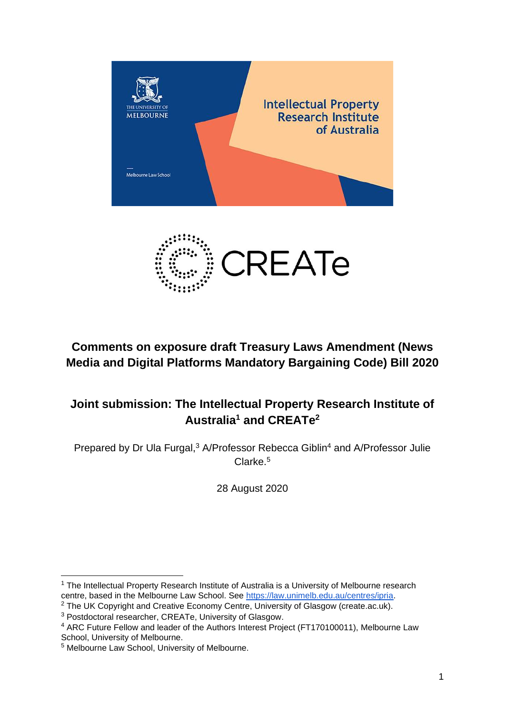



## **Comments on exposure draft Treasury Laws Amendment (News Media and Digital Platforms Mandatory Bargaining Code) Bill 2020**

# **Joint submission: The Intellectual Property Research Institute of Australia<sup>1</sup> and CREATe<sup>2</sup>**

Prepared by Dr Ula Furgal,<sup>3</sup> A/Professor Rebecca Giblin<sup>4</sup> and A/Professor Julie Clarke.<sup>5</sup>

28 August 2020

 $2$  The UK Copyright and Creative Economy Centre, University of Glasgow (create.ac.uk).

<sup>&</sup>lt;sup>1</sup> The Intellectual Property Research Institute of Australia is a University of Melbourne research centre, based in the Melbourne Law School. See [https://law.unimelb.edu.au/centres/ipria.](https://law.unimelb.edu.au/centres/ipria)

<sup>3</sup> Postdoctoral researcher, CREATe, University of Glasgow.

<sup>4</sup> ARC Future Fellow and leader of the Authors Interest Project (FT170100011), Melbourne Law School, University of Melbourne.

<sup>5</sup> Melbourne Law School, University of Melbourne.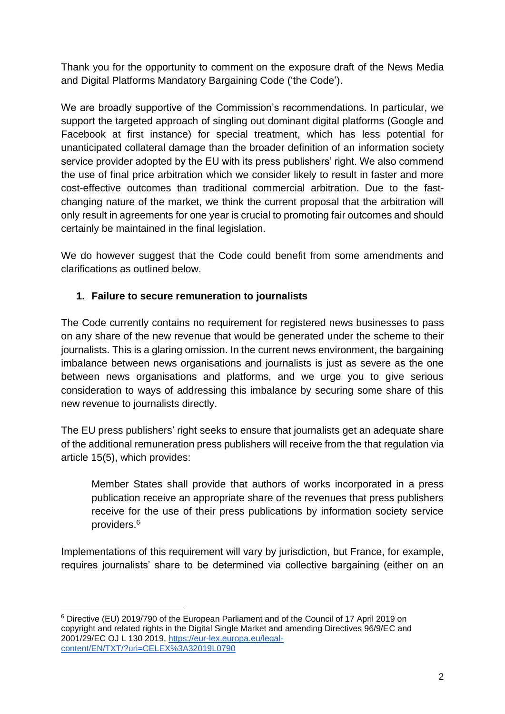Thank you for the opportunity to comment on the exposure draft of the News Media and Digital Platforms Mandatory Bargaining Code ('the Code').

We are broadly supportive of the Commission's recommendations. In particular, we support the targeted approach of singling out dominant digital platforms (Google and Facebook at first instance) for special treatment, which has less potential for unanticipated collateral damage than the broader definition of an information society service provider adopted by the EU with its press publishers' right. We also commend the use of final price arbitration which we consider likely to result in faster and more cost-effective outcomes than traditional commercial arbitration. Due to the fastchanging nature of the market, we think the current proposal that the arbitration will only result in agreements for one year is crucial to promoting fair outcomes and should certainly be maintained in the final legislation.

We do however suggest that the Code could benefit from some amendments and clarifications as outlined below.

### **1. Failure to secure remuneration to journalists**

The Code currently contains no requirement for registered news businesses to pass on any share of the new revenue that would be generated under the scheme to their journalists. This is a glaring omission. In the current news environment, the bargaining imbalance between news organisations and journalists is just as severe as the one between news organisations and platforms, and we urge you to give serious consideration to ways of addressing this imbalance by securing some share of this new revenue to journalists directly.

The EU press publishers' right seeks to ensure that journalists get an adequate share of the additional remuneration press publishers will receive from the that regulation via article 15(5), which provides:

Member States shall provide that authors of works incorporated in a press publication receive an appropriate share of the revenues that press publishers receive for the use of their press publications by information society service providers.<sup>6</sup>

Implementations of this requirement will vary by jurisdiction, but France, for example, requires journalists' share to be determined via collective bargaining (either on an

<sup>6</sup> Directive (EU) 2019/790 of the European Parliament and of the Council of 17 April 2019 on copyright and related rights in the Digital Single Market and amending Directives 96/9/EC and 2001/29/EC OJ L 130 2019, [https://eur-lex.europa.eu/legal](https://eur-lex.europa.eu/legal-content/EN/TXT/?uri=CELEX%3A32019L0790)[content/EN/TXT/?uri=CELEX%3A32019L0790](https://eur-lex.europa.eu/legal-content/EN/TXT/?uri=CELEX%3A32019L0790)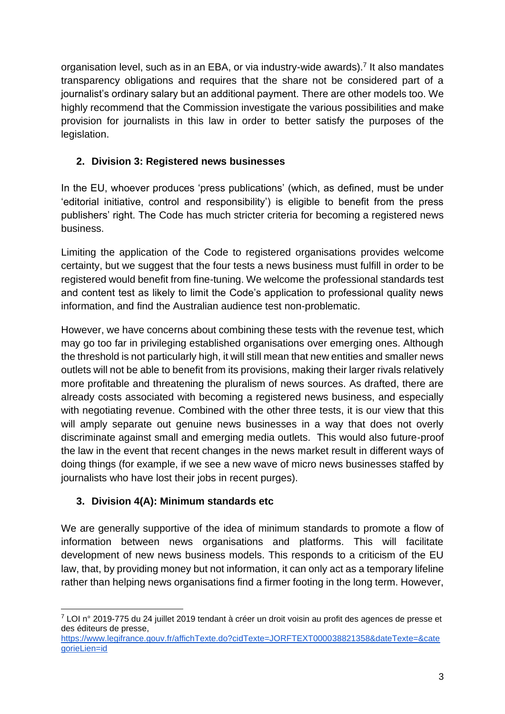organisation level, such as in an EBA, or via industry-wide awards).<sup>7</sup> It also mandates transparency obligations and requires that the share not be considered part of a journalist's ordinary salary but an additional payment. There are other models too. We highly recommend that the Commission investigate the various possibilities and make provision for journalists in this law in order to better satisfy the purposes of the legislation.

### **2. Division 3: Registered news businesses**

In the EU, whoever produces 'press publications' (which, as defined, must be under 'editorial initiative, control and responsibility') is eligible to benefit from the press publishers' right. The Code has much stricter criteria for becoming a registered news business.

Limiting the application of the Code to registered organisations provides welcome certainty, but we suggest that the four tests a news business must fulfill in order to be registered would benefit from fine-tuning. We welcome the professional standards test and content test as likely to limit the Code's application to professional quality news information, and find the Australian audience test non-problematic.

However, we have concerns about combining these tests with the revenue test, which may go too far in privileging established organisations over emerging ones. Although the threshold is not particularly high, it will still mean that new entities and smaller news outlets will not be able to benefit from its provisions, making their larger rivals relatively more profitable and threatening the pluralism of news sources. As drafted, there are already costs associated with becoming a registered news business, and especially with negotiating revenue. Combined with the other three tests, it is our view that this will amply separate out genuine news businesses in a way that does not overly discriminate against small and emerging media outlets. This would also future-proof the law in the event that recent changes in the news market result in different ways of doing things (for example, if we see a new wave of micro news businesses staffed by journalists who have lost their jobs in recent purges).

## **3. Division 4(A): Minimum standards etc**

We are generally supportive of the idea of minimum standards to promote a flow of information between news organisations and platforms. This will facilitate development of new news business models. This responds to a criticism of the EU law, that, by providing money but not information, it can only act as a temporary lifeline rather than helping news organisations find a firmer footing in the long term. However,

 $7$  LOI n° 2019-775 du 24 juillet 2019 tendant à créer un droit voisin au profit des agences de presse et des éditeurs de presse,

[https://www.legifrance.gouv.fr/affichTexte.do?cidTexte=JORFTEXT000038821358&dateTexte=&cate](https://www.legifrance.gouv.fr/affichTexte.do?cidTexte=JORFTEXT000038821358&dateTexte=&categorieLien=id) [gorieLien=id](https://www.legifrance.gouv.fr/affichTexte.do?cidTexte=JORFTEXT000038821358&dateTexte=&categorieLien=id)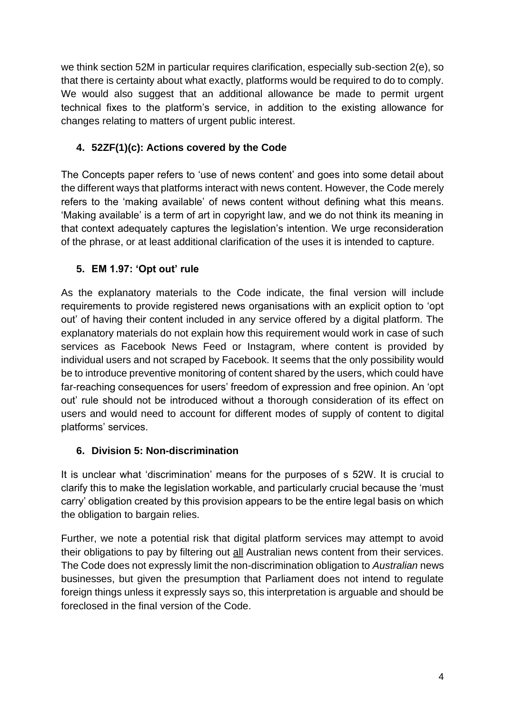we think section 52M in particular requires clarification, especially sub-section 2(e), so that there is certainty about what exactly, platforms would be required to do to comply. We would also suggest that an additional allowance be made to permit urgent technical fixes to the platform's service, in addition to the existing allowance for changes relating to matters of urgent public interest.

## **4. 52ZF(1)(c): Actions covered by the Code**

The Concepts paper refers to 'use of news content' and goes into some detail about the different ways that platforms interact with news content. However, the Code merely refers to the 'making available' of news content without defining what this means. 'Making available' is a term of art in copyright law, and we do not think its meaning in that context adequately captures the legislation's intention. We urge reconsideration of the phrase, or at least additional clarification of the uses it is intended to capture.

## **5. EM 1.97: 'Opt out' rule**

As the explanatory materials to the Code indicate, the final version will include requirements to provide registered news organisations with an explicit option to 'opt out' of having their content included in any service offered by a digital platform. The explanatory materials do not explain how this requirement would work in case of such services as Facebook News Feed or Instagram, where content is provided by individual users and not scraped by Facebook. It seems that the only possibility would be to introduce preventive monitoring of content shared by the users, which could have far-reaching consequences for users' freedom of expression and free opinion. An 'opt out' rule should not be introduced without a thorough consideration of its effect on users and would need to account for different modes of supply of content to digital platforms' services.

### **6. Division 5: Non-discrimination**

It is unclear what 'discrimination' means for the purposes of s 52W. It is crucial to clarify this to make the legislation workable, and particularly crucial because the 'must carry' obligation created by this provision appears to be the entire legal basis on which the obligation to bargain relies.

Further, we note a potential risk that digital platform services may attempt to avoid their obligations to pay by filtering out all Australian news content from their services. The Code does not expressly limit the non-discrimination obligation to *Australian* news businesses, but given the presumption that Parliament does not intend to regulate foreign things unless it expressly says so, this interpretation is arguable and should be foreclosed in the final version of the Code.